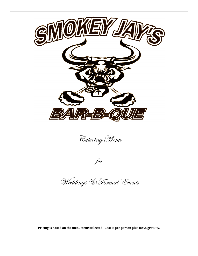

Pricing is based on the menu items selected. Cost is per person plus tax & gratuity.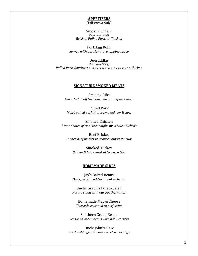#### **APPETIZERS (Full-service Only)**

Smokin' Sliders *(Select your Meat) Brisket, Pulled Pork, or Chicken*

Pork Egg Rolls *Served with our signature dipping sauce*

Quesadillas *(Select your Filling) Pulled Pork, Southwest (black beans, corn, & cheese), or Chicken* 

### **SIGNATURE SMOKED MEATS**

Smokey Ribs *Our ribs fall off the bone...no pulling necessary* 

Pulled Pork *Moist pulled pork that is smoked low & slow* 

Smoked Chicken *\*Your choice of Boneless Thighs or Whole Chicken\**

Beef Brisket *Tender beef brisket to arouse your taste buds*

> Smoked Turkey *Golden & Juicy smoked to perfection*

### **HOMEMADE SIDES**

Jay's Baked Beans *Our spin on traditional baked beans*

Uncle Joseph's Potato Salad *Potato salad with our Southern flair*

Homemade Mac & Cheese *Cheesy & seasoned to perfection*

Southern Green Beans *Seasoned green beans with baby carrots*

Uncle John's Slaw *Fresh cabbage with our secret seasonings*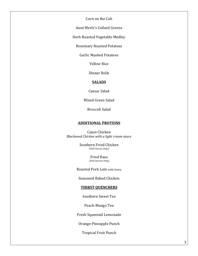Corn on the Cob

Aunt Merle's Collard Greens

Herb Roasted Vegetable Medley

Rosemary Roasted Potatoes

Garlic Mashed Potatoes

Yellow Rice

Dinner Rolls

# **SALADS**

Caesar Salad

Mixed Green Salad

Broccoli Salad

## **ADDITIONAL PROTEINS**

Cajun Chicken *Blackened Chicken with a light cream sauce*

> Southern Fried Chicken *(Full-Service Only)*

> > Fried Basa *(Full-Service Only)*

Roasted Pork Loin with Gravy

Seasoned Baked Chicken

# **THIRST QUENCHERS**

Southern Sweet Tea

Peach-Mango Tea

Fresh Squeezed Lemonade

Orange-Pineapple Punch

Tropical Fruit Punch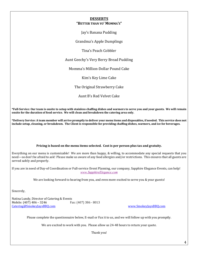### **DESSERTS "BETTER THAN YO' MOMMA'S"**

Jay's Banana Pudding

Grandma's Apple Dumplings

Tina's Peach Cobbler

Aunt Geechy's Very Berry Bread Pudding

Momma's Million-Dollar Pound Cake

Kim's Key Lime Cake

The Original Strawberry Cake

Aunt B's Red Velvet Cake

**\*Full-Service: Our team is onsite to setup with stainless chaffing dishes and warmers to serve you and your guests. We will remain**  onsite for the duration of food service. We will clean and breakdown the catering area only.

**\*Delivery Service: A team member will arrive promptly to deliver your menu items and disposables, if needed. This service does not**  include setup, cleaning, or breakdown. The Client is responsible for providing chaffing dishes, warmers, and ice for beverages.

### Pricing is based on the menu items selected. Cost is per person plus tax and gratuity.

Everything on our menu is customizable! We are more than happy, & willing, to accommodate any special requests that you need—so don't be afraid to ask! Please make us aware of any food allergies and/or restrictions. This ensures that all guests are served safely and properly.

If you are in need of Day-of Coordination or Full-service Event Planning, our company, Sapphire Elegance Events, can help! *www.SapphireElegance.com*

We are looking forward to hearing from you, and even more excited to serve you & your guests!

Sincerely,

Natina Lundy, Director of Catering & Events Mobile: (407) 406 - 3246 Fax: (407) 386 - 8013 Catering@SmokeyJaysBBQ.com www.SmokeyJaysBBQ.com

Please complete the questionnaire below, E-mail or Fax it to us, and we will follow up with you promptly.

We are excited to work with you. Please allow us 24-48 hours to return your quote.

Thank you!